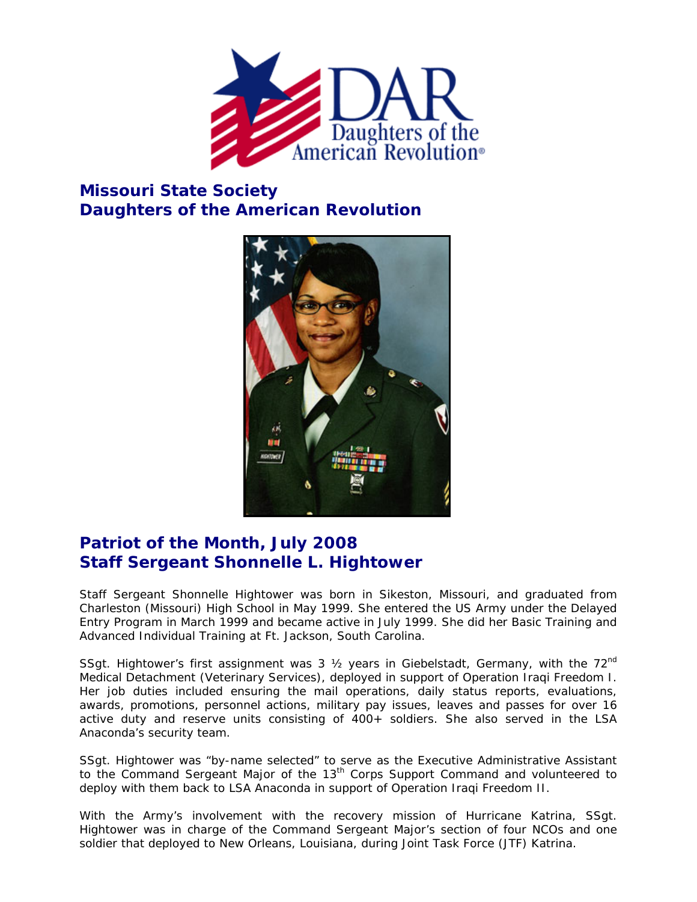

## **Missouri State Society Daughters of the American Revolution**



## **Patriot of the Month, July 2008 Staff Sergeant Shonnelle L. Hightower**

Staff Sergeant Shonnelle Hightower was born in Sikeston, Missouri, and graduated from Charleston (Missouri) High School in May 1999. She entered the US Army under the Delayed Entry Program in March 1999 and became active in July 1999. She did her Basic Training and Advanced Individual Training at Ft. Jackson, South Carolina.

SSgt. Hightower's first assignment was 3  $\frac{1}{2}$  years in Giebelstadt, Germany, with the 72<sup>nd</sup> Medical Detachment (Veterinary Services), deployed in support of Operation Iraqi Freedom I. Her job duties included ensuring the mail operations, daily status reports, evaluations, awards, promotions, personnel actions, military pay issues, leaves and passes for over 16 active duty and reserve units consisting of 400+ soldiers. She also served in the LSA Anaconda's security team.

SSgt. Hightower was "by-name selected" to serve as the Executive Administrative Assistant to the Command Sergeant Major of the 13<sup>th</sup> Corps Support Command and volunteered to deploy with them back to LSA Anaconda in support of Operation Iraqi Freedom II.

With the Army's involvement with the recovery mission of Hurricane Katrina, SSgt. Hightower was in charge of the Command Sergeant Major's section of four NCOs and one soldier that deployed to New Orleans, Louisiana, during Joint Task Force (JTF) Katrina.